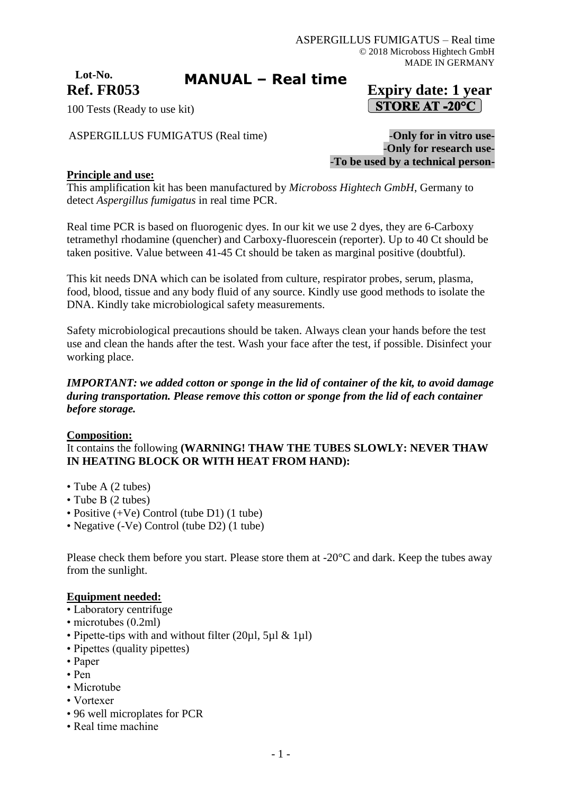# **Lot-No.**

## **MANUAL – Real time**

## **Ref. FR053 Expiry date: 1 year STORE AT -20°C**

100 Tests (Ready to use kit)

ASPERGILLUS FUMIGATUS (Real time) -**Only for in vitro use-**

-**Only for research use-** -**To be used by a technical person-**

#### **Principle and use:**

This amplification kit has been manufactured by *Microboss Hightech GmbH*, Germany to detect *Aspergillus fumigatus* in real time PCR.

Real time PCR is based on fluorogenic dyes. In our kit we use 2 dyes, they are 6-Carboxy tetramethyl rhodamine (quencher) and Carboxy-fluorescein (reporter). Up to 40 Ct should be taken positive. Value between 41-45 Ct should be taken as marginal positive (doubtful).

This kit needs DNA which can be isolated from culture, respirator probes, serum, plasma, food, blood, tissue and any body fluid of any source. Kindly use good methods to isolate the DNA. Kindly take microbiological safety measurements.

Safety microbiological precautions should be taken. Always clean your hands before the test use and clean the hands after the test. Wash your face after the test, if possible. Disinfect your working place.

#### *IMPORTANT: we added cotton or sponge in the lid of container of the kit, to avoid damage during transportation. Please remove this cotton or sponge from the lid of each container before storage.*

#### **Composition:**

It contains the following **(WARNING! THAW THE TUBES SLOWLY: NEVER THAW IN HEATING BLOCK OR WITH HEAT FROM HAND):**

- Tube A (2 tubes)
- Tube B (2 tubes)
- Positive (+Ve) Control (tube D1) (1 tube)
- Negative (-Ve) Control (tube D2) (1 tube)

Please check them before you start. Please store them at -20°C and dark. Keep the tubes away from the sunlight.

#### **Equipment needed:**

- Laboratory centrifuge
- microtubes (0.2ml)
- Pipette-tips with and without filter (20 $\mu$ l, 5 $\mu$ l & 1 $\mu$ l)
- Pipettes (quality pipettes)
- Paper
- Pen
- Microtube
- Vortexer
- 96 well microplates for PCR
- Real time machine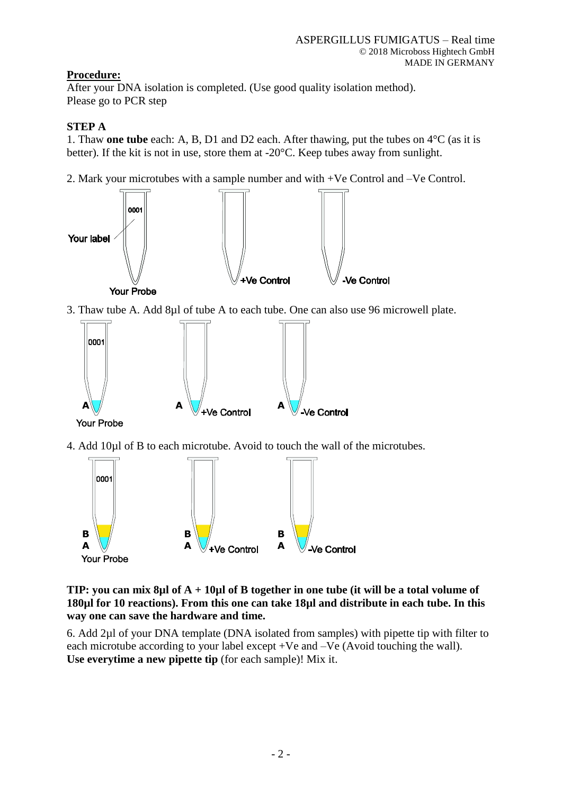## **Procedure:**

After your DNA isolation is completed. (Use good quality isolation method). Please go to PCR step

## **STEP A**

1. Thaw **one tube** each: A, B, D1 and D2 each. After thawing, put the tubes on 4°C (as it is better). If the kit is not in use, store them at -20°C. Keep tubes away from sunlight.

2. Mark your microtubes with a sample number and with +Ve Control and –Ve Control.



**TIP: you can mix 8µl of A + 10µl of B together in one tube (it will be a total volume of 180µl for 10 reactions). From this one can take 18µl and distribute in each tube. In this way one can save the hardware and time.**

6. Add 2µl of your DNA template (DNA isolated from samples) with pipette tip with filter to each microtube according to your label except +Ve and –Ve (Avoid touching the wall). **Use everytime a new pipette tip** (for each sample)! Mix it.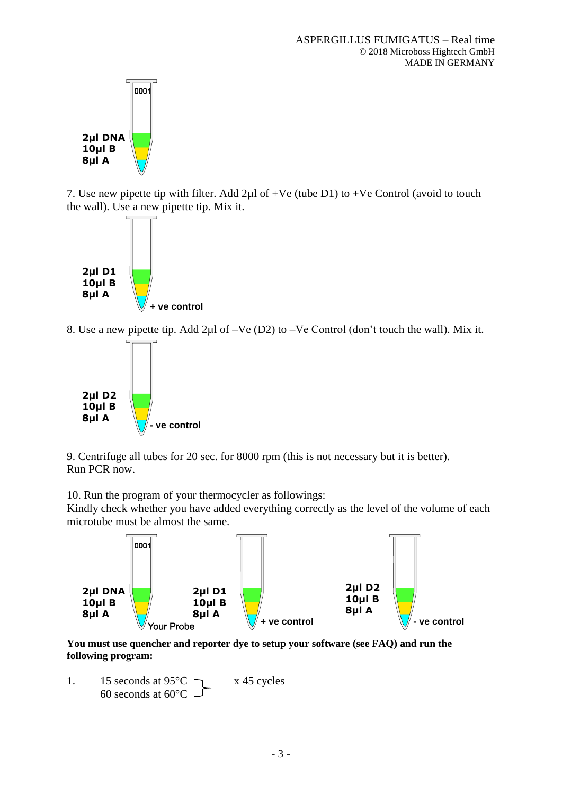

7. Use new pipette tip with filter. Add  $2\mu$ l of +Ve (tube D1) to +Ve Control (avoid to touch the wall). Use a new pipette tip. Mix it.



8. Use a new pipette tip. Add 2µl of –Ve (D2) to –Ve Control (don't touch the wall). Mix it.



9. Centrifuge all tubes for 20 sec. for 8000 rpm (this is not necessary but it is better). Run PCR now.

10. Run the program of your thermocycler as followings:

Kindly check whether you have added everything correctly as the level of the volume of each microtube must be almost the same.



**You must use quencher and reporter dye to setup your software (see FAQ) and run the following program:**

1. 15 seconds at  $95^{\circ}$ C  $\qquad \qquad$  x 45 cycles 60 seconds at  $60^{\circ}$ C –